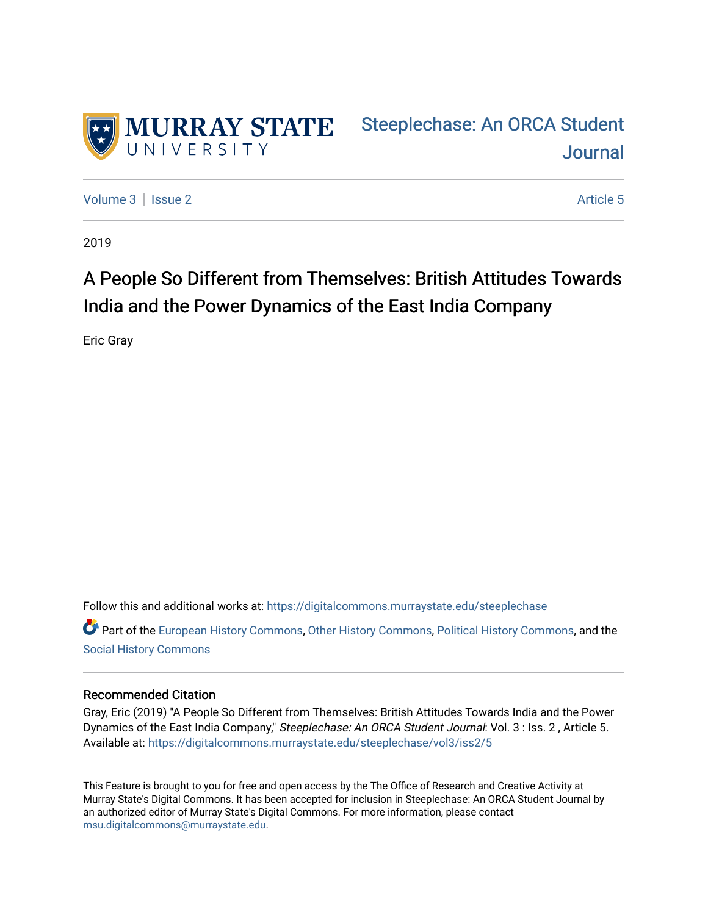

[Steeplechase: An ORCA Student](https://digitalcommons.murraystate.edu/steeplechase)  [Journal](https://digitalcommons.murraystate.edu/steeplechase) 

[Volume 3](https://digitalcommons.murraystate.edu/steeplechase/vol3) | [Issue 2](https://digitalcommons.murraystate.edu/steeplechase/vol3/iss2) Article 5

2019

# A People So Different from Themselves: British Attitudes Towards India and the Power Dynamics of the East India Company

Eric Gray

Follow this and additional works at: [https://digitalcommons.murraystate.edu/steeplechase](https://digitalcommons.murraystate.edu/steeplechase?utm_source=digitalcommons.murraystate.edu%2Fsteeplechase%2Fvol3%2Fiss2%2F5&utm_medium=PDF&utm_campaign=PDFCoverPages) 

Part of the [European History Commons](http://network.bepress.com/hgg/discipline/492?utm_source=digitalcommons.murraystate.edu%2Fsteeplechase%2Fvol3%2Fiss2%2F5&utm_medium=PDF&utm_campaign=PDFCoverPages), [Other History Commons,](http://network.bepress.com/hgg/discipline/508?utm_source=digitalcommons.murraystate.edu%2Fsteeplechase%2Fvol3%2Fiss2%2F5&utm_medium=PDF&utm_campaign=PDFCoverPages) [Political History Commons,](http://network.bepress.com/hgg/discipline/505?utm_source=digitalcommons.murraystate.edu%2Fsteeplechase%2Fvol3%2Fiss2%2F5&utm_medium=PDF&utm_campaign=PDFCoverPages) and the [Social History Commons](http://network.bepress.com/hgg/discipline/506?utm_source=digitalcommons.murraystate.edu%2Fsteeplechase%2Fvol3%2Fiss2%2F5&utm_medium=PDF&utm_campaign=PDFCoverPages) 

#### Recommended Citation

Gray, Eric (2019) "A People So Different from Themselves: British Attitudes Towards India and the Power Dynamics of the East India Company," Steeplechase: An ORCA Student Journal: Vol. 3 : Iss. 2, Article 5. Available at: [https://digitalcommons.murraystate.edu/steeplechase/vol3/iss2/5](https://digitalcommons.murraystate.edu/steeplechase/vol3/iss2/5?utm_source=digitalcommons.murraystate.edu%2Fsteeplechase%2Fvol3%2Fiss2%2F5&utm_medium=PDF&utm_campaign=PDFCoverPages) 

This Feature is brought to you for free and open access by the The Office of Research and Creative Activity at Murray State's Digital Commons. It has been accepted for inclusion in Steeplechase: An ORCA Student Journal by an authorized editor of Murray State's Digital Commons. For more information, please contact [msu.digitalcommons@murraystate.edu](mailto:msu.digitalcommons@murraystate.edu).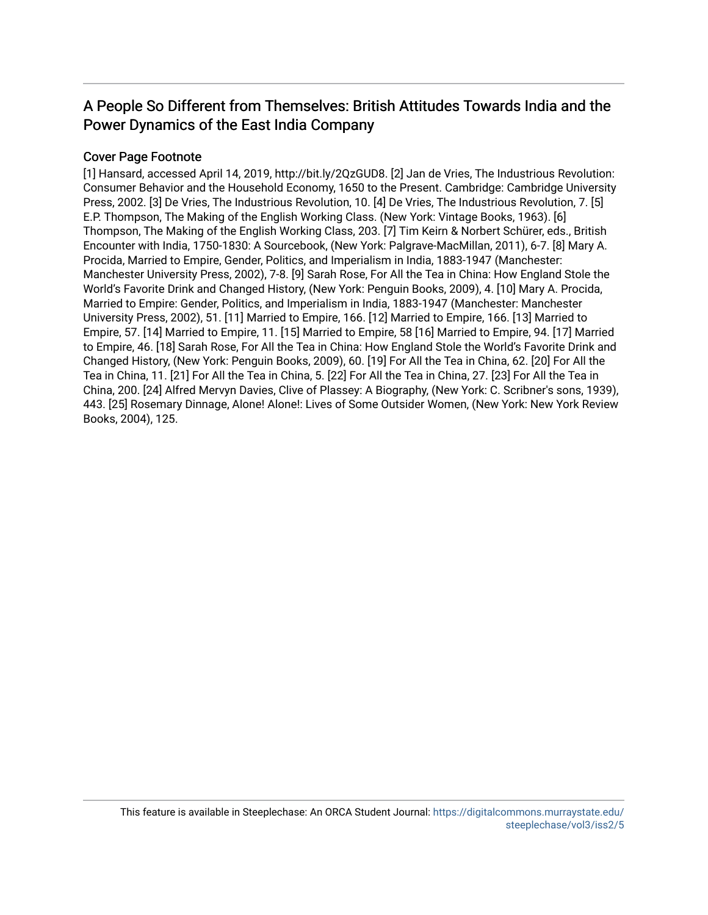# A People So Different from Themselves: British Attitudes Towards India and the Power Dynamics of the East India Company

### Cover Page Footnote

[1] Hansard, accessed April 14, 2019, http://bit.ly/2QzGUD8. [2] Jan de Vries, The Industrious Revolution: Consumer Behavior and the Household Economy, 1650 to the Present. Cambridge: Cambridge University Press, 2002. [3] De Vries, The Industrious Revolution, 10. [4] De Vries, The Industrious Revolution, 7. [5] E.P. Thompson, The Making of the English Working Class. (New York: Vintage Books, 1963). [6] Thompson, The Making of the English Working Class, 203. [7] Tim Keirn & Norbert Schürer, eds., British Encounter with India, 1750-1830: A Sourcebook, (New York: Palgrave-MacMillan, 2011), 6-7. [8] Mary A. Procida, Married to Empire, Gender, Politics, and Imperialism in India, 1883-1947 (Manchester: Manchester University Press, 2002), 7-8. [9] Sarah Rose, For All the Tea in China: How England Stole the World's Favorite Drink and Changed History, (New York: Penguin Books, 2009), 4. [10] Mary A. Procida, Married to Empire: Gender, Politics, and Imperialism in India, 1883-1947 (Manchester: Manchester University Press, 2002), 51. [11] Married to Empire, 166. [12] Married to Empire, 166. [13] Married to Empire, 57. [14] Married to Empire, 11. [15] Married to Empire, 58 [16] Married to Empire, 94. [17] Married to Empire, 46. [18] Sarah Rose, For All the Tea in China: How England Stole the World's Favorite Drink and Changed History, (New York: Penguin Books, 2009), 60. [19] For All the Tea in China, 62. [20] For All the Tea in China, 11. [21] For All the Tea in China, 5. [22] For All the Tea in China, 27. [23] For All the Tea in China, 200. [24] Alfred Mervyn Davies, Clive of Plassey: A Biography, (New York: C. Scribner's sons, 1939), 443. [25] Rosemary Dinnage, Alone! Alone!: Lives of Some Outsider Women, (New York: New York Review Books, 2004), 125.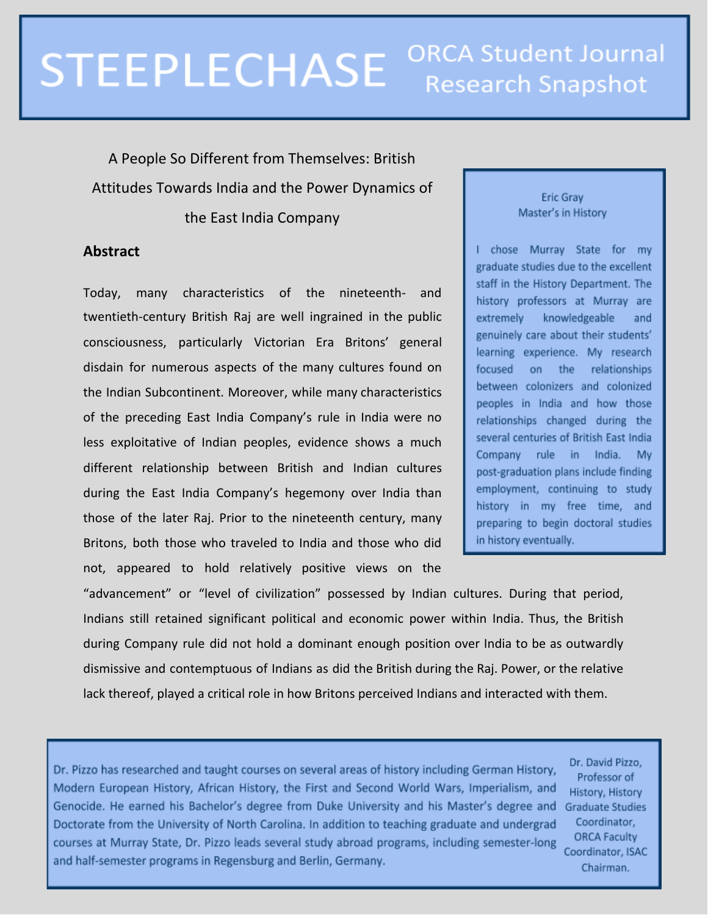# **ORCA Student Journal STEEPLECHASE Research Snapshot**

A People So Different from Themselves: British Attitudes Towards India and the Power Dynamics of the East India Company

## **Abstract**

Today, many characteristics of the nineteenth- and twentieth-century British Raj are well ingrained in the public consciousness, particularly Victorian Era Britons' general disdain for numerous aspects of the many cultures found on the Indian Subcontinent. Moreover, while many characteristics of the preceding East India Company's rule in India were no less exploitative of Indian peoples, evidence shows a much different relationship between British and Indian cultures during the East India Company's hegemony over India than those of the later Raj. Prior to the nineteenth century, many Britons, both those who traveled to India and those who did not, appeared to hold relatively positive views on the

#### Eric Gray Master's in History

I chose Murray State for my graduate studies due to the excellent staff in the History Department. The history professors at Murray are extremely knowledgeable and genuinely care about their students' learning experience. My research relationships focused on the between colonizers and colonized peoples in India and how those relationships changed during the several centuries of British East India Company rule in India. My post-graduation plans include finding employment, continuing to study history in my free time, and preparing to begin doctoral studies in history eventually.

"advancement" or "level of civilization" possessed by Indian cultures. During that period, Indians still retained significant political and economic power within India. Thus, the British during Company rule did not hold a dominant enough position over India to be as outwardly dismissive and contemptuous of Indians as did the British during the Raj. Power, or the relative lack thereof, played a critical role in how Britons perceived Indians and interacted with them.

Dr. Pizzo has researched and taught courses on several areas of history including German History, Modern European History, African History, the First and Second World Wars, Imperialism, and Genocide. He earned his Bachelor's degree from Duke University and his Master's degree and Doctorate from the University of North Carolina. In addition to teaching graduate and undergrad courses at Murray State, Dr. Pizzo leads several study abroad programs, including semester-long and half-semester programs in Regensburg and Berlin, Germany.

Dr. David Pizzo, Professor of History, History **Graduate Studies** Coordinator, **ORCA Faculty** Coordinator, ISAC Chairman.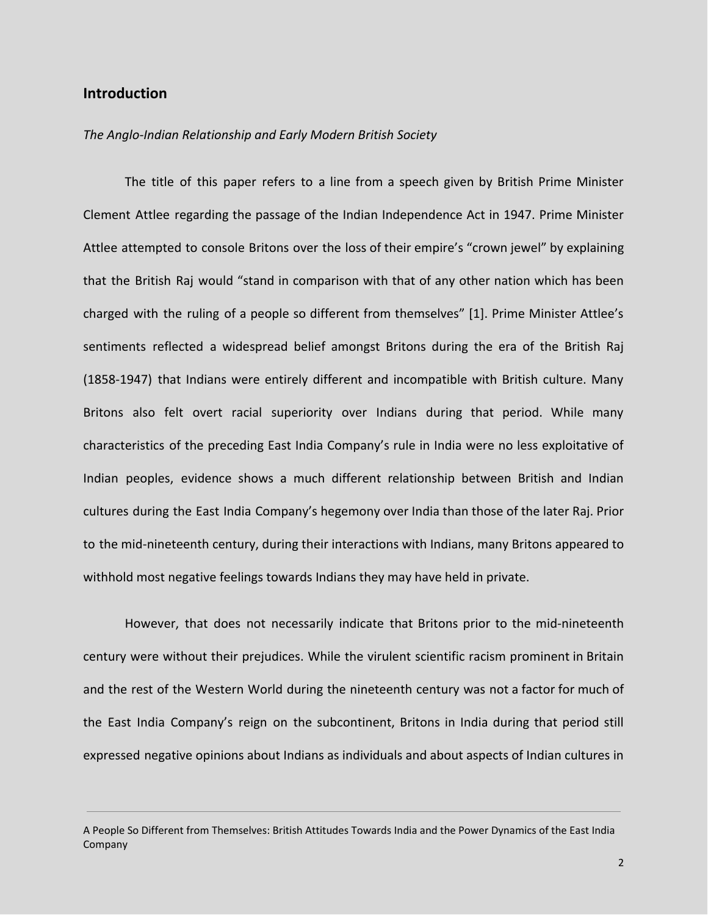#### **Introduction**

#### *The Anglo-Indian Relationship and Early Modern British Society*

The title of this paper refers to a line from a speech given by British Prime Minister Clement Attlee regarding the passage of the Indian Independence Act in 1947. Prime Minister Attlee attempted to console Britons over the loss of their empire's "crown jewel" by explaining that the British Raj would "stand in comparison with that of any other nation which has been charged with the ruling of a people so different from themselves" [1]. Prime Minister Attlee's sentiments reflected a widespread belief amongst Britons during the era of the British Raj (1858-1947) that Indians were entirely different and incompatible with British culture. Many Britons also felt overt racial superiority over Indians during that period. While many characteristics of the preceding East India Company's rule in India were no less exploitative of Indian peoples, evidence shows a much different relationship between British and Indian cultures during the East India Company's hegemony over India than those of the later Raj. Prior to the mid-nineteenth century, during their interactions with Indians, many Britons appeared to withhold most negative feelings towards Indians they may have held in private.

However, that does not necessarily indicate that Britons prior to the mid-nineteenth century were without their prejudices. While the virulent scientific racism prominent in Britain and the rest of the Western World during the nineteenth century was not a factor for much of the East India Company's reign on the subcontinent, Britons in India during that period still expressed negative opinions about Indians as individuals and about aspects of Indian cultures in

A People So Different from Themselves: British Attitudes Towards India and the Power Dynamics of the East India Company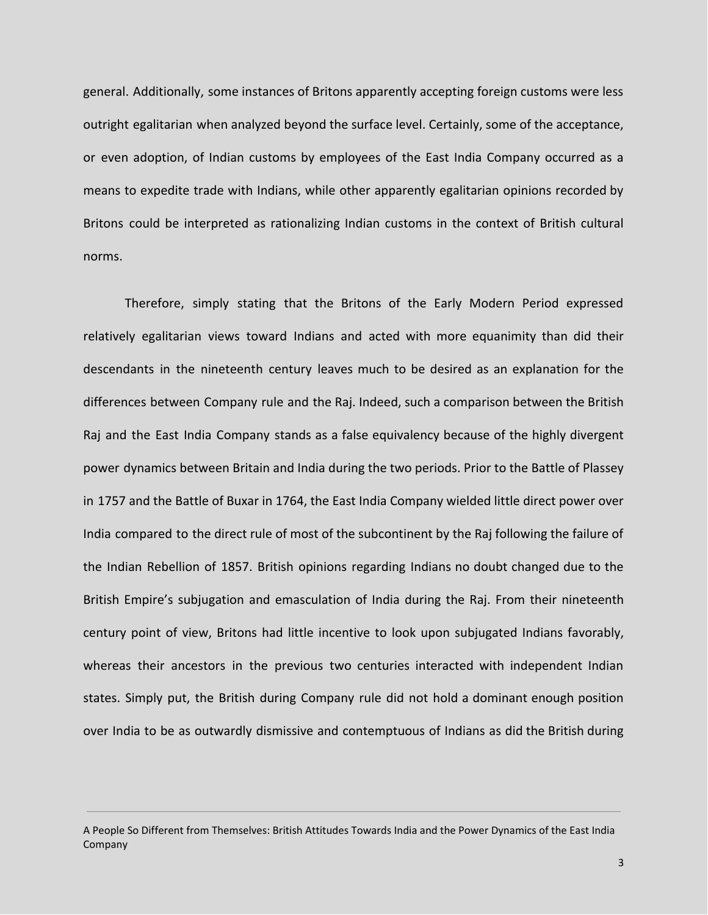general. Additionally, some instances of Britons apparently accepting foreign customs were less outright egalitarian when analyzed beyond the surface level. Certainly, some of the acceptance, or even adoption, of Indian customs by employees of the East India Company occurred as a means to expedite trade with Indians, while other apparently egalitarian opinions recorded by Britons could be interpreted as rationalizing Indian customs in the context of British cultural norms.

Therefore, simply stating that the Britons of the Early Modern Period expressed relatively egalitarian views toward Indians and acted with more equanimity than did their descendants in the nineteenth century leaves much to be desired as an explanation for the differences between Company rule and the Raj. Indeed, such a comparison between the British Raj and the East India Company stands as a false equivalency because of the highly divergent power dynamics between Britain and India during the two periods. Prior to the Battle of Plassey in 1757 and the Battle of Buxar in 1764, the East India Company wielded little direct power over India compared to the direct rule of most of the subcontinent by the Raj following the failure of the Indian Rebellion of 1857. British opinions regarding Indians no doubt changed due to the British Empire's subjugation and emasculation of India during the Raj. From their nineteenth century point of view, Britons had little incentive to look upon subjugated Indians favorably, whereas their ancestors in the previous two centuries interacted with independent Indian states. Simply put, the British during Company rule did not hold a dominant enough position over India to be as outwardly dismissive and contemptuous of Indians as did the British during

A People So Different from Themselves: British Attitudes Towards India and the Power Dynamics of the East India Company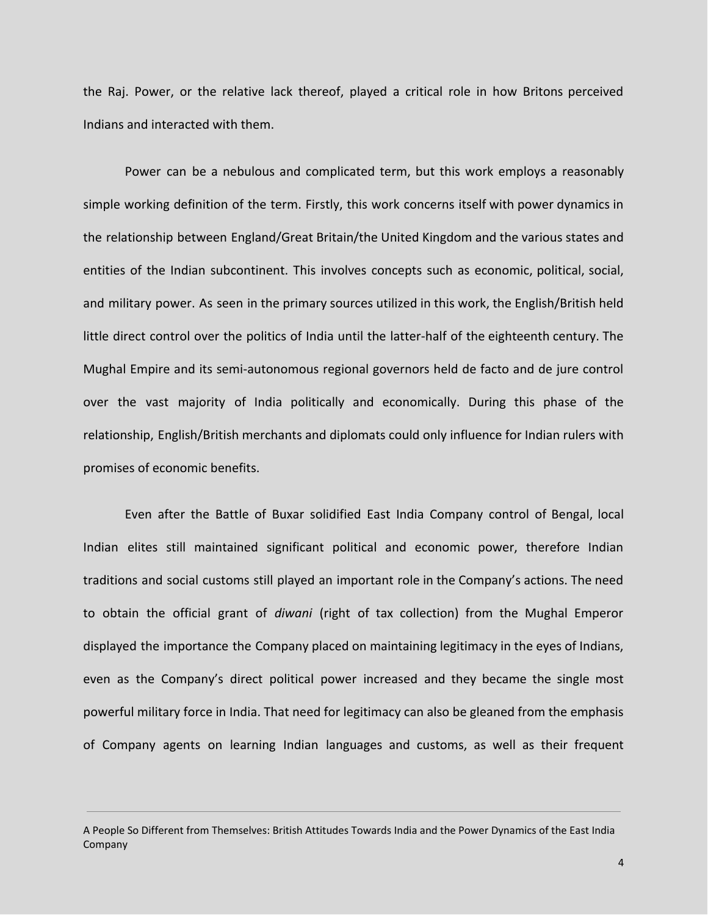the Raj. Power, or the relative lack thereof, played a critical role in how Britons perceived Indians and interacted with them.

Power can be a nebulous and complicated term, but this work employs a reasonably simple working definition of the term. Firstly, this work concerns itself with power dynamics in the relationship between England/Great Britain/the United Kingdom and the various states and entities of the Indian subcontinent. This involves concepts such as economic, political, social, and military power. As seen in the primary sources utilized in this work, the English/British held little direct control over the politics of India until the latter-half of the eighteenth century. The Mughal Empire and its semi-autonomous regional governors held de facto and de jure control over the vast majority of India politically and economically. During this phase of the relationship, English/British merchants and diplomats could only influence for Indian rulers with promises of economic benefits.

Even after the Battle of Buxar solidified East India Company control of Bengal, local Indian elites still maintained significant political and economic power, therefore Indian traditions and social customs still played an important role in the Company's actions. The need to obtain the official grant of *diwani* (right of tax collection) from the Mughal Emperor displayed the importance the Company placed on maintaining legitimacy in the eyes of Indians, even as the Company's direct political power increased and they became the single most powerful military force in India. That need for legitimacy can also be gleaned from the emphasis of Company agents on learning Indian languages and customs, as well as their frequent

A People So Different from Themselves: British Attitudes Towards India and the Power Dynamics of the East India Company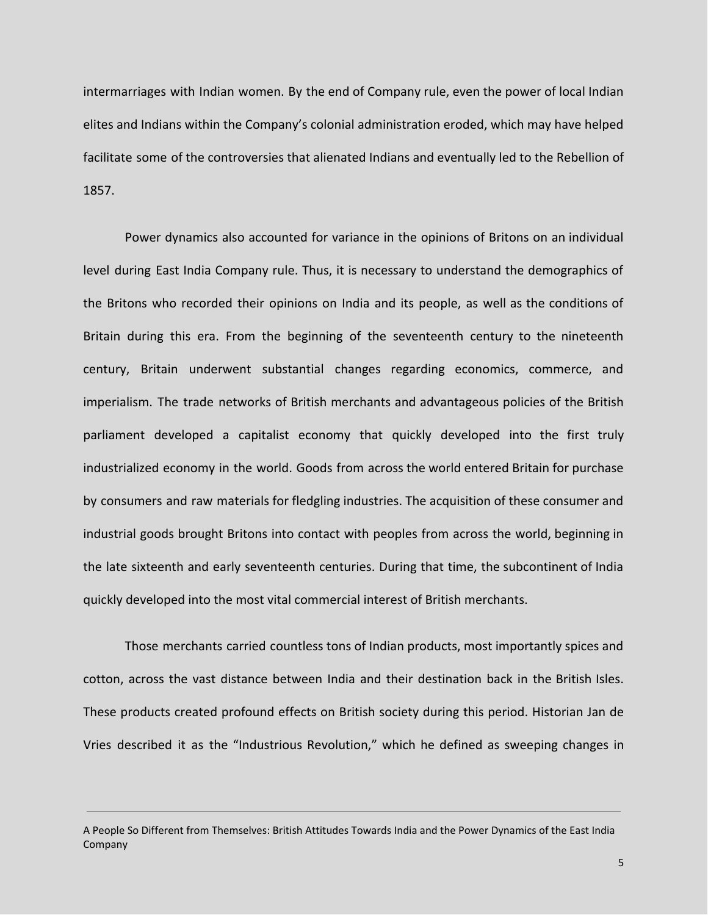intermarriages with Indian women. By the end of Company rule, even the power of local Indian elites and Indians within the Company's colonial administration eroded, which may have helped facilitate some of the controversies that alienated Indians and eventually led to the Rebellion of 1857.

Power dynamics also accounted for variance in the opinions of Britons on an individual level during East India Company rule. Thus, it is necessary to understand the demographics of the Britons who recorded their opinions on India and its people, as well as the conditions of Britain during this era. From the beginning of the seventeenth century to the nineteenth century, Britain underwent substantial changes regarding economics, commerce, and imperialism. The trade networks of British merchants and advantageous policies of the British parliament developed a capitalist economy that quickly developed into the first truly industrialized economy in the world. Goods from across the world entered Britain for purchase by consumers and raw materials for fledgling industries. The acquisition of these consumer and industrial goods brought Britons into contact with peoples from across the world, beginning in the late sixteenth and early seventeenth centuries. During that time, the subcontinent of India quickly developed into the most vital commercial interest of British merchants.

Those merchants carried countless tons of Indian products, most importantly spices and cotton, across the vast distance between India and their destination back in the British Isles. These products created profound effects on British society during this period. Historian Jan de Vries described it as the "Industrious Revolution," which he defined as sweeping changes in

A People So Different from Themselves: British Attitudes Towards India and the Power Dynamics of the East India Company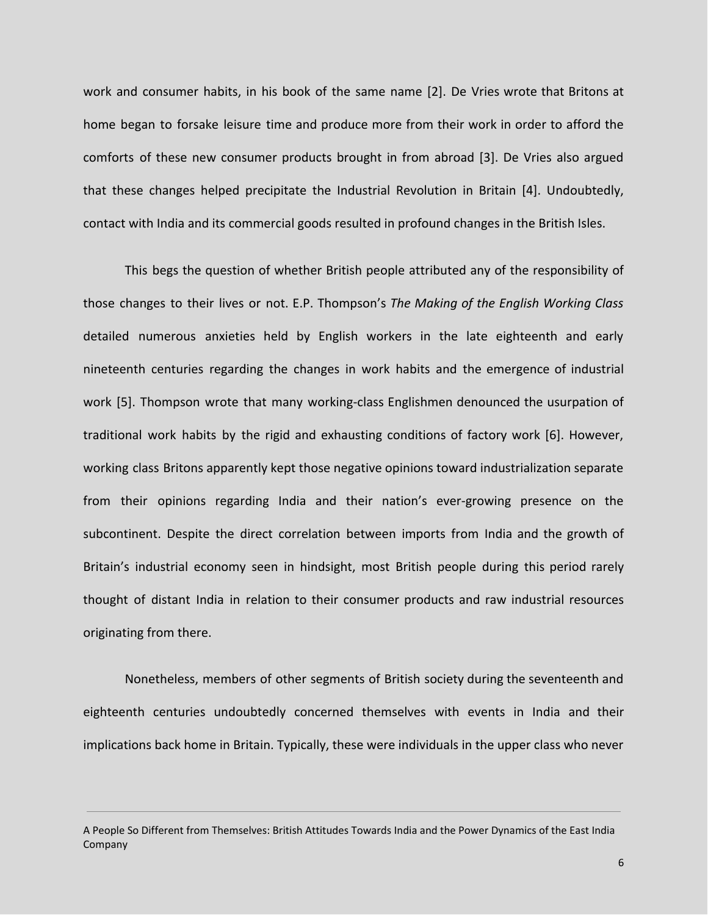work and consumer habits, in his book of the same name [2]. De Vries wrote that Britons at home began to forsake leisure time and produce more from their work in order to afford the comforts of these new consumer products brought in from abroad [3]. De Vries also argued that these changes helped precipitate the Industrial Revolution in Britain [4]. Undoubtedly, contact with India and its commercial goods resulted in profound changes in the British Isles.

This begs the question of whether British people attributed any of the responsibility of those changes to their lives or not. E.P. Thompson's *The Making of the English Working Class* detailed numerous anxieties held by English workers in the late eighteenth and early nineteenth centuries regarding the changes in work habits and the emergence of industrial work [5]. Thompson wrote that many working-class Englishmen denounced the usurpation of traditional work habits by the rigid and exhausting conditions of factory work [6]. However, working class Britons apparently kept those negative opinions toward industrialization separate from their opinions regarding India and their nation's ever-growing presence on the subcontinent. Despite the direct correlation between imports from India and the growth of Britain's industrial economy seen in hindsight, most British people during this period rarely thought of distant India in relation to their consumer products and raw industrial resources originating from there.

Nonetheless, members of other segments of British society during the seventeenth and eighteenth centuries undoubtedly concerned themselves with events in India and their implications back home in Britain. Typically, these were individuals in the upper class who never

A People So Different from Themselves: British Attitudes Towards India and the Power Dynamics of the East India Company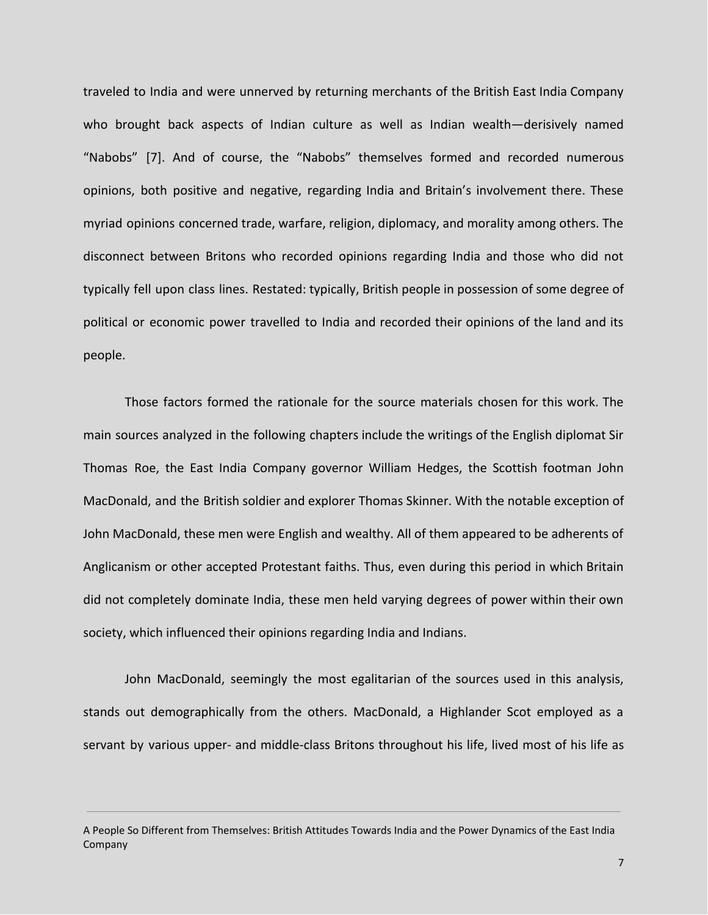traveled to India and were unnerved by returning merchants of the British East India Company who brought back aspects of Indian culture as well as Indian wealth—derisively named "Nabobs" [7]. And of course, the "Nabobs" themselves formed and recorded numerous opinions, both positive and negative, regarding India and Britain's involvement there. These myriad opinions concerned trade, warfare, religion, diplomacy, and morality among others. The disconnect between Britons who recorded opinions regarding India and those who did not typically fell upon class lines. Restated: typically, British people in possession of some degree of political or economic power travelled to India and recorded their opinions of the land and its people.

Those factors formed the rationale for the source materials chosen for this work. The main sources analyzed in the following chapters include the writings of the English diplomat Sir Thomas Roe, the East India Company governor William Hedges, the Scottish footman John MacDonald, and the British soldier and explorer Thomas Skinner. With the notable exception of John MacDonald, these men were English and wealthy. All of them appeared to be adherents of Anglicanism or other accepted Protestant faiths. Thus, even during this period in which Britain did not completely dominate India, these men held varying degrees of power within their own society, which influenced their opinions regarding India and Indians.

John MacDonald, seemingly the most egalitarian of the sources used in this analysis, stands out demographically from the others. MacDonald, a Highlander Scot employed as a servant by various upper- and middle-class Britons throughout his life, lived most of his life as

A People So Different from Themselves: British Attitudes Towards India and the Power Dynamics of the East India Company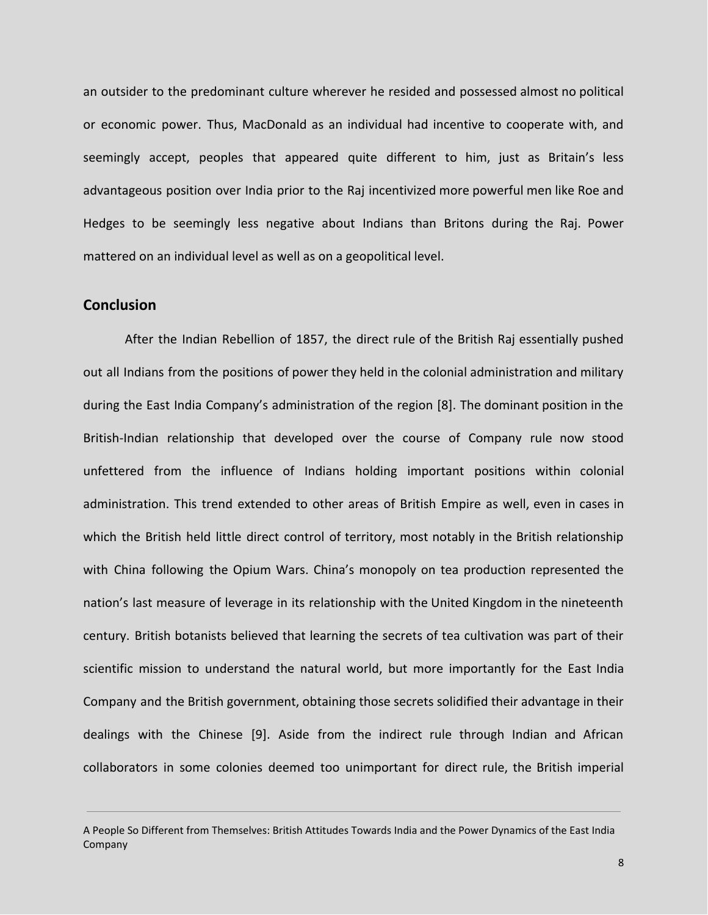an outsider to the predominant culture wherever he resided and possessed almost no political or economic power. Thus, MacDonald as an individual had incentive to cooperate with, and seemingly accept, peoples that appeared quite different to him, just as Britain's less advantageous position over India prior to the Raj incentivized more powerful men like Roe and Hedges to be seemingly less negative about Indians than Britons during the Raj. Power mattered on an individual level as well as on a geopolitical level.

### **Conclusion**

After the Indian Rebellion of 1857, the direct rule of the British Raj essentially pushed out all Indians from the positions of power they held in the colonial administration and military during the East India Company's administration of the region [8]. The dominant position in the British-Indian relationship that developed over the course of Company rule now stood unfettered from the influence of Indians holding important positions within colonial administration. This trend extended to other areas of British Empire as well, even in cases in which the British held little direct control of territory, most notably in the British relationship with China following the Opium Wars. China's monopoly on tea production represented the nation's last measure of leverage in its relationship with the United Kingdom in the nineteenth century. British botanists believed that learning the secrets of tea cultivation was part of their scientific mission to understand the natural world, but more importantly for the East India Company and the British government, obtaining those secrets solidified their advantage in their dealings with the Chinese [9]. Aside from the indirect rule through Indian and African collaborators in some colonies deemed too unimportant for direct rule, the British imperial

A People So Different from Themselves: British Attitudes Towards India and the Power Dynamics of the East India Company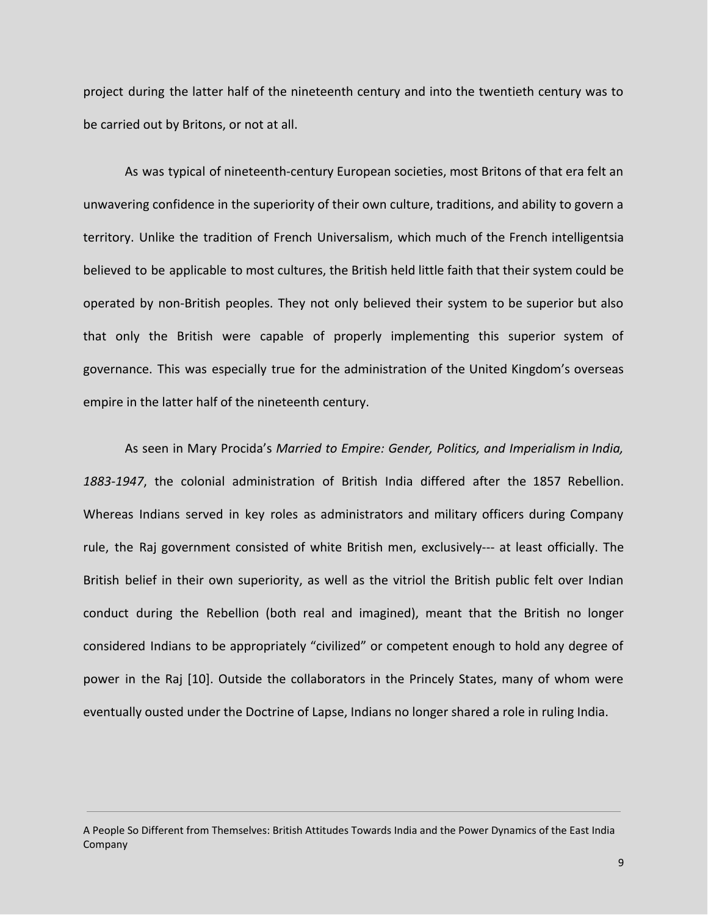project during the latter half of the nineteenth century and into the twentieth century was to be carried out by Britons, or not at all.

As was typical of nineteenth-century European societies, most Britons of that era felt an unwavering confidence in the superiority of their own culture, traditions, and ability to govern a territory. Unlike the tradition of French Universalism, which much of the French intelligentsia believed to be applicable to most cultures, the British held little faith that their system could be operated by non-British peoples. They not only believed their system to be superior but also that only the British were capable of properly implementing this superior system of governance. This was especially true for the administration of the United Kingdom's overseas empire in the latter half of the nineteenth century.

As seen in Mary Procida's *Married to Empire: Gender, Politics, and Imperialism in India, 1883-1947*, the colonial administration of British India differed after the 1857 Rebellion. Whereas Indians served in key roles as administrators and military officers during Company rule, the Raj government consisted of white British men, exclusively--- at least officially. The British belief in their own superiority, as well as the vitriol the British public felt over Indian conduct during the Rebellion (both real and imagined), meant that the British no longer considered Indians to be appropriately "civilized" or competent enough to hold any degree of power in the Raj [10]. Outside the collaborators in the Princely States, many of whom were eventually ousted under the Doctrine of Lapse, Indians no longer shared a role in ruling India.

A People So Different from Themselves: British Attitudes Towards India and the Power Dynamics of the East India Company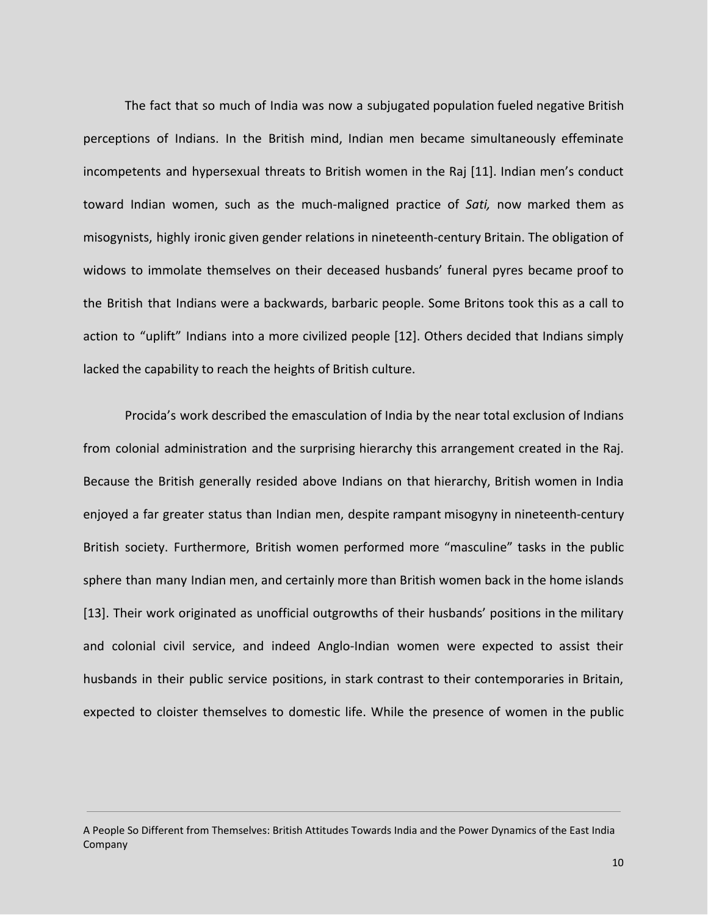The fact that so much of India was now a subjugated population fueled negative British perceptions of Indians. In the British mind, Indian men became simultaneously effeminate incompetents and hypersexual threats to British women in the Raj [11]. Indian men's conduct toward Indian women, such as the much-maligned practice of *Sati,* now marked them as misogynists, highly ironic given gender relations in nineteenth-century Britain. The obligation of widows to immolate themselves on their deceased husbands' funeral pyres became proof to the British that Indians were a backwards, barbaric people. Some Britons took this as a call to action to "uplift" Indians into a more civilized people [12]. Others decided that Indians simply lacked the capability to reach the heights of British culture.

Procida's work described the emasculation of India by the near total exclusion of Indians from colonial administration and the surprising hierarchy this arrangement created in the Raj. Because the British generally resided above Indians on that hierarchy, British women in India enjoyed a far greater status than Indian men, despite rampant misogyny in nineteenth-century British society. Furthermore, British women performed more "masculine" tasks in the public sphere than many Indian men, and certainly more than British women back in the home islands [13]. Their work originated as unofficial outgrowths of their husbands' positions in the military and colonial civil service, and indeed Anglo-Indian women were expected to assist their husbands in their public service positions, in stark contrast to their contemporaries in Britain, expected to cloister themselves to domestic life. While the presence of women in the public

A People So Different from Themselves: British Attitudes Towards India and the Power Dynamics of the East India Company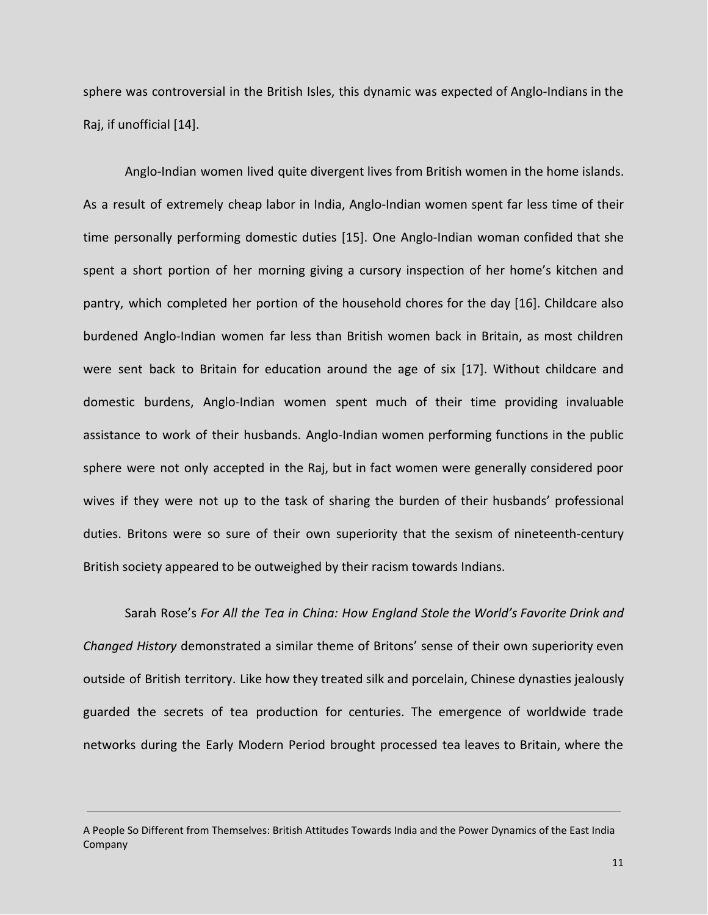sphere was controversial in the British Isles, this dynamic was expected of Anglo-Indians in the Raj, if unofficial [14].

Anglo-Indian women lived quite divergent lives from British women in the home islands. As a result of extremely cheap labor in India, Anglo-Indian women spent far less time of their time personally performing domestic duties [15]. One Anglo-Indian woman confided that she spent a short portion of her morning giving a cursory inspection of her home's kitchen and pantry, which completed her portion of the household chores for the day [16]. Childcare also burdened Anglo-Indian women far less than British women back in Britain, as most children were sent back to Britain for education around the age of six [17]. Without childcare and domestic burdens, Anglo-Indian women spent much of their time providing invaluable assistance to work of their husbands. Anglo-Indian women performing functions in the public sphere were not only accepted in the Raj, but in fact women were generally considered poor wives if they were not up to the task of sharing the burden of their husbands' professional duties. Britons were so sure of their own superiority that the sexism of nineteenth-century British society appeared to be outweighed by their racism towards Indians.

Sarah Rose's *For All the Tea in China: How England Stole the World's Favorite Drink and Changed History* demonstrated a similar theme of Britons' sense of their own superiority even outside of British territory. Like how they treated silk and porcelain, Chinese dynasties jealously guarded the secrets of tea production for centuries. The emergence of worldwide trade networks during the Early Modern Period brought processed tea leaves to Britain, where the

A People So Different from Themselves: British Attitudes Towards India and the Power Dynamics of the East India Company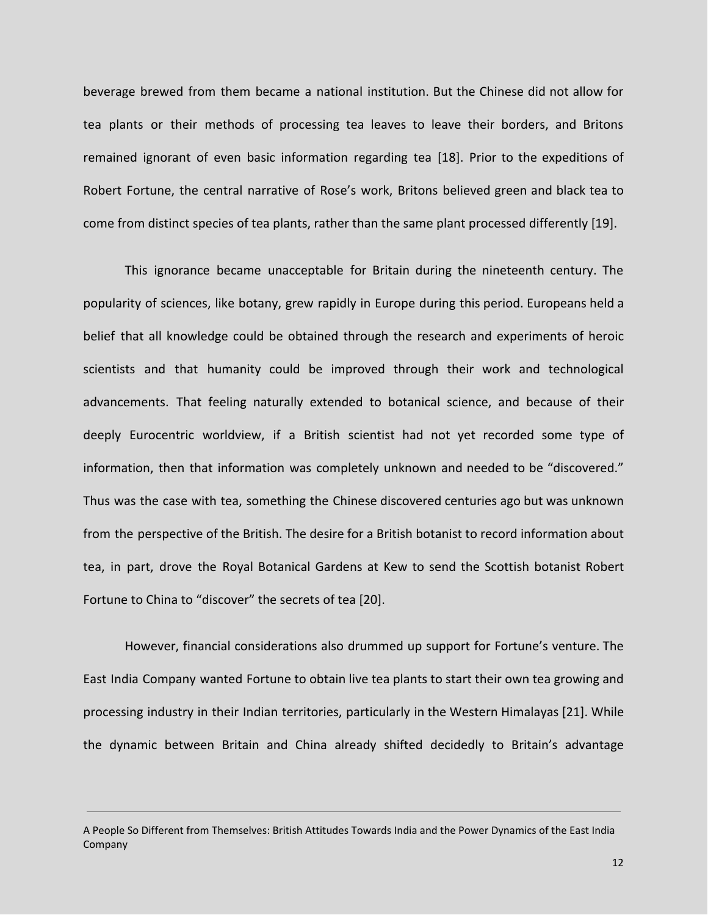beverage brewed from them became a national institution. But the Chinese did not allow for tea plants or their methods of processing tea leaves to leave their borders, and Britons remained ignorant of even basic information regarding tea [18]. Prior to the expeditions of Robert Fortune, the central narrative of Rose's work, Britons believed green and black tea to come from distinct species of tea plants, rather than the same plant processed differently [19].

This ignorance became unacceptable for Britain during the nineteenth century. The popularity of sciences, like botany, grew rapidly in Europe during this period. Europeans held a belief that all knowledge could be obtained through the research and experiments of heroic scientists and that humanity could be improved through their work and technological advancements. That feeling naturally extended to botanical science, and because of their deeply Eurocentric worldview, if a British scientist had not yet recorded some type of information, then that information was completely unknown and needed to be "discovered." Thus was the case with tea, something the Chinese discovered centuries ago but was unknown from the perspective of the British. The desire for a British botanist to record information about tea, in part, drove the Royal Botanical Gardens at Kew to send the Scottish botanist Robert Fortune to China to "discover" the secrets of tea [20].

However, financial considerations also drummed up support for Fortune's venture. The East India Company wanted Fortune to obtain live tea plants to start their own tea growing and processing industry in their Indian territories, particularly in the Western Himalayas [21]. While the dynamic between Britain and China already shifted decidedly to Britain's advantage

A People So Different from Themselves: British Attitudes Towards India and the Power Dynamics of the East India Company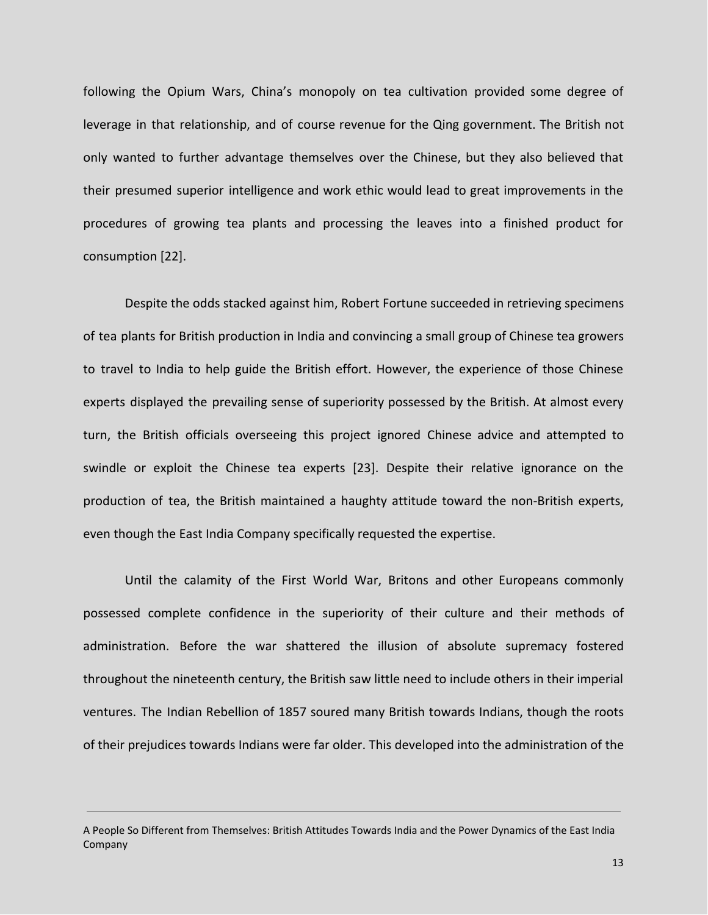following the Opium Wars, China's monopoly on tea cultivation provided some degree of leverage in that relationship, and of course revenue for the Qing government. The British not only wanted to further advantage themselves over the Chinese, but they also believed that their presumed superior intelligence and work ethic would lead to great improvements in the procedures of growing tea plants and processing the leaves into a finished product for consumption [22].

Despite the odds stacked against him, Robert Fortune succeeded in retrieving specimens of tea plants for British production in India and convincing a small group of Chinese tea growers to travel to India to help guide the British effort. However, the experience of those Chinese experts displayed the prevailing sense of superiority possessed by the British. At almost every turn, the British officials overseeing this project ignored Chinese advice and attempted to swindle or exploit the Chinese tea experts [23]. Despite their relative ignorance on the production of tea, the British maintained a haughty attitude toward the non-British experts, even though the East India Company specifically requested the expertise.

Until the calamity of the First World War, Britons and other Europeans commonly possessed complete confidence in the superiority of their culture and their methods of administration. Before the war shattered the illusion of absolute supremacy fostered throughout the nineteenth century, the British saw little need to include others in their imperial ventures. The Indian Rebellion of 1857 soured many British towards Indians, though the roots of their prejudices towards Indians were far older. This developed into the administration of the

A People So Different from Themselves: British Attitudes Towards India and the Power Dynamics of the East India Company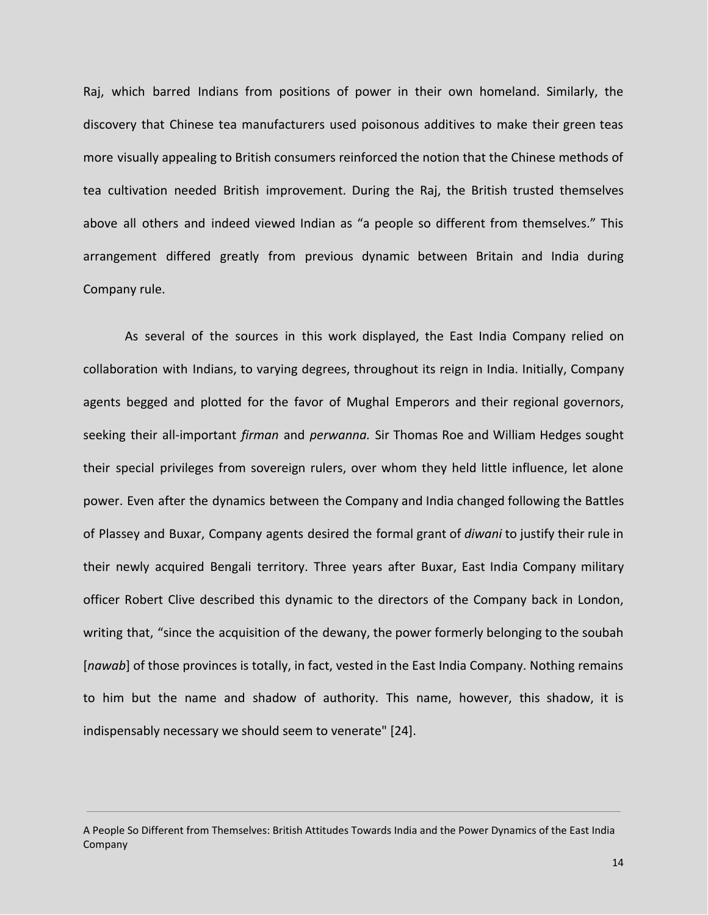Raj, which barred Indians from positions of power in their own homeland. Similarly, the discovery that Chinese tea manufacturers used poisonous additives to make their green teas more visually appealing to British consumers reinforced the notion that the Chinese methods of tea cultivation needed British improvement. During the Raj, the British trusted themselves above all others and indeed viewed Indian as "a people so different from themselves." This arrangement differed greatly from previous dynamic between Britain and India during Company rule.

As several of the sources in this work displayed, the East India Company relied on collaboration with Indians, to varying degrees, throughout its reign in India. Initially, Company agents begged and plotted for the favor of Mughal Emperors and their regional governors, seeking their all-important *firman* and *perwanna.* Sir Thomas Roe and William Hedges sought their special privileges from sovereign rulers, over whom they held little influence, let alone power. Even after the dynamics between the Company and India changed following the Battles of Plassey and Buxar, Company agents desired the formal grant of *diwani* to justify their rule in their newly acquired Bengali territory. Three years after Buxar, East India Company military officer Robert Clive described this dynamic to the directors of the Company back in London, writing that, "since the acquisition of the dewany, the power formerly belonging to the soubah [*nawab*] of those provinces is totally, in fact, vested in the East India Company. Nothing remains to him but the name and shadow of authority. This name, however, this shadow, it is indispensably necessary we should seem to venerate" [24].

A People So Different from Themselves: British Attitudes Towards India and the Power Dynamics of the East India Company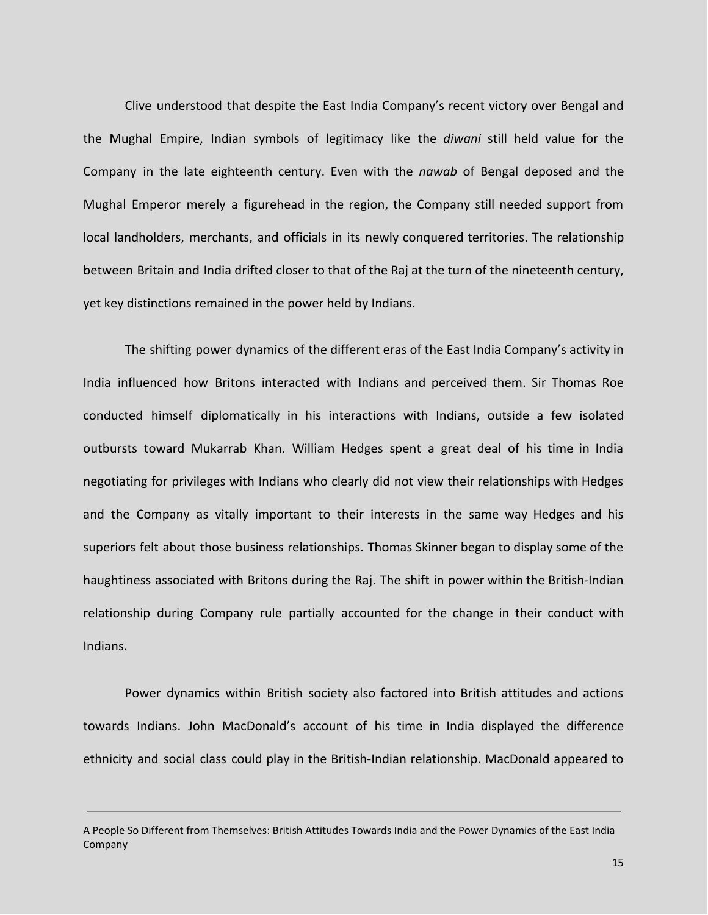Clive understood that despite the East India Company's recent victory over Bengal and the Mughal Empire, Indian symbols of legitimacy like the *diwani* still held value for the Company in the late eighteenth century. Even with the *nawab* of Bengal deposed and the Mughal Emperor merely a figurehead in the region, the Company still needed support from local landholders, merchants, and officials in its newly conquered territories. The relationship between Britain and India drifted closer to that of the Raj at the turn of the nineteenth century, yet key distinctions remained in the power held by Indians.

The shifting power dynamics of the different eras of the East India Company's activity in India influenced how Britons interacted with Indians and perceived them. Sir Thomas Roe conducted himself diplomatically in his interactions with Indians, outside a few isolated outbursts toward Mukarrab Khan. William Hedges spent a great deal of his time in India negotiating for privileges with Indians who clearly did not view their relationships with Hedges and the Company as vitally important to their interests in the same way Hedges and his superiors felt about those business relationships. Thomas Skinner began to display some of the haughtiness associated with Britons during the Raj. The shift in power within the British-Indian relationship during Company rule partially accounted for the change in their conduct with Indians.

Power dynamics within British society also factored into British attitudes and actions towards Indians. John MacDonald's account of his time in India displayed the difference ethnicity and social class could play in the British-Indian relationship. MacDonald appeared to

A People So Different from Themselves: British Attitudes Towards India and the Power Dynamics of the East India Company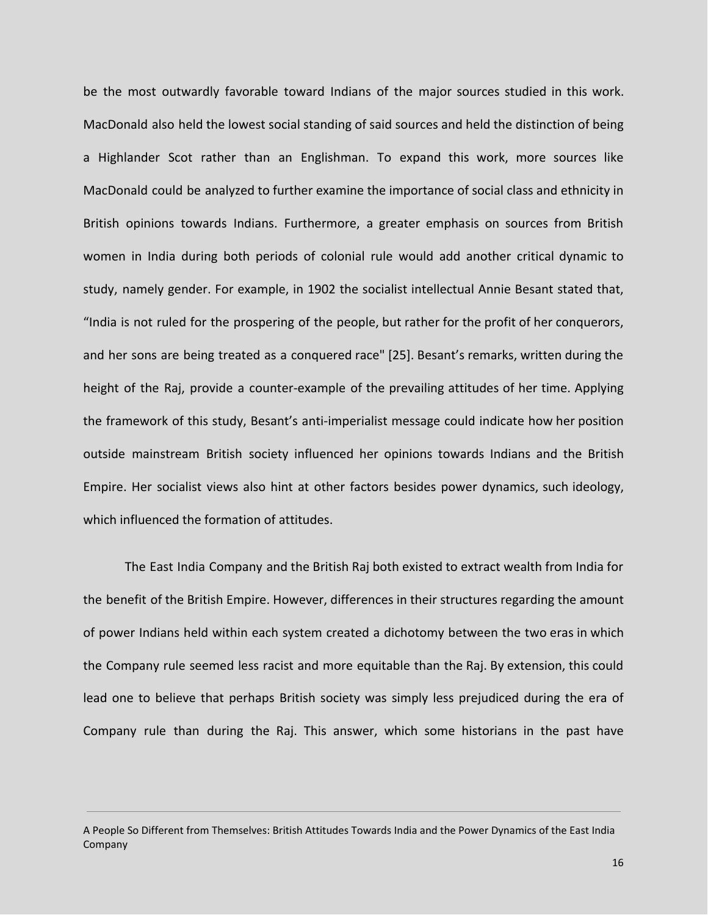be the most outwardly favorable toward Indians of the major sources studied in this work. MacDonald also held the lowest social standing of said sources and held the distinction of being a Highlander Scot rather than an Englishman. To expand this work, more sources like MacDonald could be analyzed to further examine the importance of social class and ethnicity in British opinions towards Indians. Furthermore, a greater emphasis on sources from British women in India during both periods of colonial rule would add another critical dynamic to study, namely gender. For example, in 1902 the socialist intellectual Annie Besant stated that, "India is not ruled for the prospering of the people, but rather for the profit of her conquerors, and her sons are being treated as a conquered race" [25]. Besant's remarks, written during the height of the Raj, provide a counter-example of the prevailing attitudes of her time. Applying the framework of this study, Besant's anti-imperialist message could indicate how her position outside mainstream British society influenced her opinions towards Indians and the British Empire. Her socialist views also hint at other factors besides power dynamics, such ideology, which influenced the formation of attitudes.

The East India Company and the British Raj both existed to extract wealth from India for the benefit of the British Empire. However, differences in their structures regarding the amount of power Indians held within each system created a dichotomy between the two eras in which the Company rule seemed less racist and more equitable than the Raj. By extension, this could lead one to believe that perhaps British society was simply less prejudiced during the era of Company rule than during the Raj. This answer, which some historians in the past have

A People So Different from Themselves: British Attitudes Towards India and the Power Dynamics of the East India Company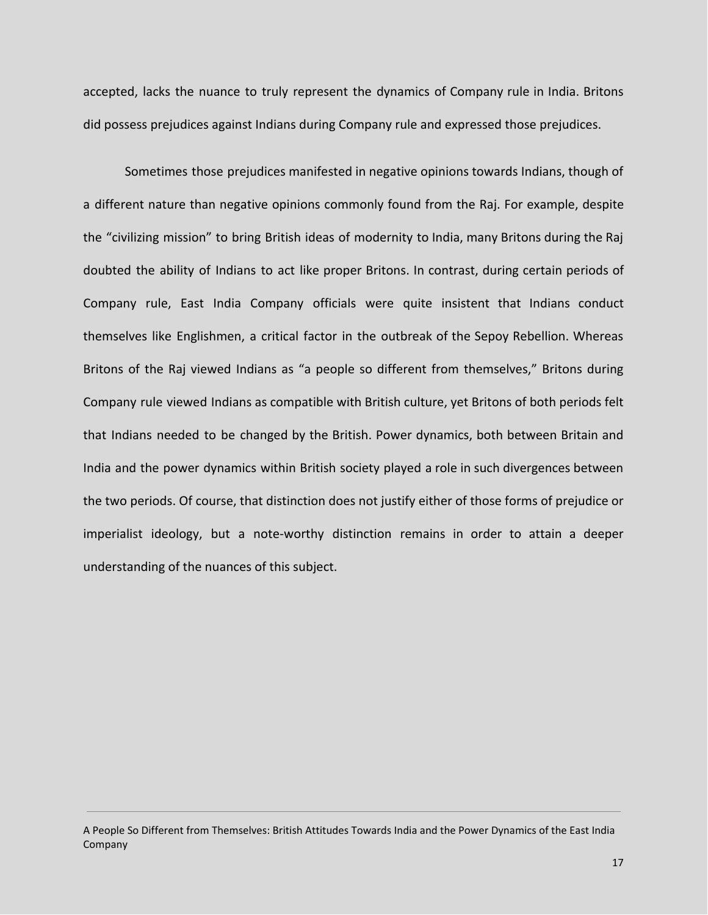accepted, lacks the nuance to truly represent the dynamics of Company rule in India. Britons did possess prejudices against Indians during Company rule and expressed those prejudices.

Sometimes those prejudices manifested in negative opinions towards Indians, though of a different nature than negative opinions commonly found from the Raj. For example, despite the "civilizing mission" to bring British ideas of modernity to India, many Britons during the Raj doubted the ability of Indians to act like proper Britons. In contrast, during certain periods of Company rule, East India Company officials were quite insistent that Indians conduct themselves like Englishmen, a critical factor in the outbreak of the Sepoy Rebellion. Whereas Britons of the Raj viewed Indians as "a people so different from themselves," Britons during Company rule viewed Indians as compatible with British culture, yet Britons of both periods felt that Indians needed to be changed by the British. Power dynamics, both between Britain and India and the power dynamics within British society played a role in such divergences between the two periods. Of course, that distinction does not justify either of those forms of prejudice or imperialist ideology, but a note-worthy distinction remains in order to attain a deeper understanding of the nuances of this subject.

A People So Different from Themselves: British Attitudes Towards India and the Power Dynamics of the East India Company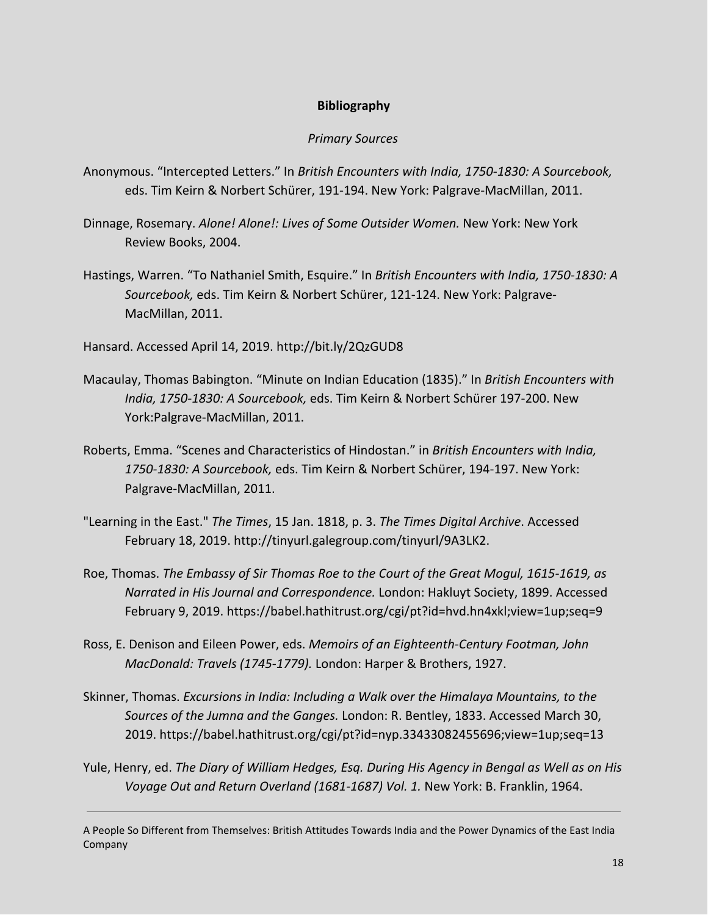#### **Bibliography**

#### *Primary Sources*

- Anonymous. "Intercepted Letters." In *British Encounters with India, 1750-1830: A Sourcebook,* eds. Tim Keirn & Norbert Schürer, 191-194. New York: Palgrave-MacMillan, 2011.
- Dinnage, Rosemary. *Alone! Alone!: Lives of Some Outsider Women.* New York: New York Review Books, 2004.
- Hastings, Warren. "To Nathaniel Smith, Esquire." In *British Encounters with India, 1750-1830: A Sourcebook,* eds. Tim Keirn & Norbert Schürer, 121-124. New York: Palgrave-MacMillan, 2011.
- Hansard. Accessed April 14, 2019. http://bit.ly/2QzGUD8
- Macaulay, Thomas Babington. "Minute on Indian Education (1835)." In *British Encounters with India, 1750-1830: A Sourcebook,* eds. Tim Keirn & Norbert Schürer 197-200. New York:Palgrave-MacMillan, 2011.
- Roberts, Emma. "Scenes and Characteristics of Hindostan." in *British Encounters with India, 1750-1830: A Sourcebook,* eds. Tim Keirn & Norbert Schürer, 194-197. New York: Palgrave-MacMillan, 2011.
- "Learning in the East." *The Times*, 15 Jan. 1818, p. 3. *The Times Digital Archive*. Accessed February 18, 2019. http://tinyurl.galegroup.com/tinyurl/9A3LK2.
- Roe, Thomas. *The Embassy of Sir Thomas Roe to the Court of the Great Mogul, 1615-1619, as Narrated in His Journal and Correspondence.* London: Hakluyt Society, 1899. Accessed February 9, 2019. https://babel.hathitrust.org/cgi/pt?id=hvd.hn4xkl;view=1up;seq=9
- Ross, E. Denison and Eileen Power, eds. *Memoirs of an Eighteenth-Century Footman, John MacDonald: Travels (1745-1779).* London: Harper & Brothers, 1927.
- Skinner, Thomas. *Excursions in India: Including a Walk over the Himalaya Mountains, to the Sources of the Jumna and the Ganges.* London: R. Bentley, 1833. Accessed March 30, 2019. https://babel.hathitrust.org/cgi/pt?id=nyp.33433082455696;view=1up;seq=13
- Yule, Henry, ed. *The Diary of William Hedges, Esq. During His Agency in Bengal as Well as on His Voyage Out and Return Overland (1681-1687) Vol. 1.* New York: B. Franklin, 1964.

A People So Different from Themselves: British Attitudes Towards India and the Power Dynamics of the East India Company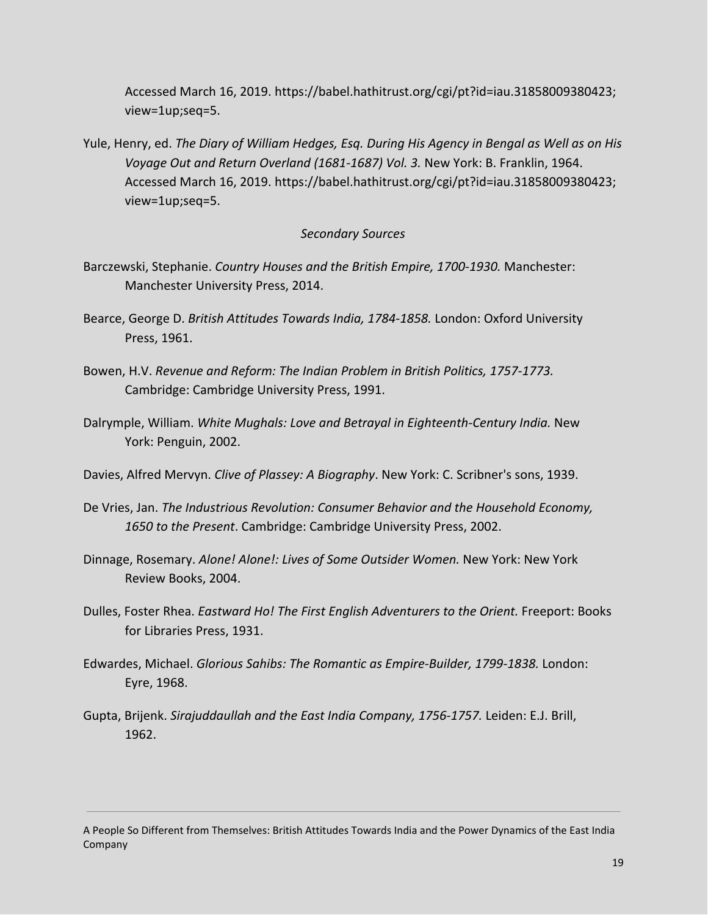Accessed March 16, 2019. https://babel.hathitrust.org/cgi/pt?id=iau.31858009380423; view=1up;seq=5.

Yule, Henry, ed. *The Diary of William Hedges, Esq. During His Agency in Bengal as Well as on His Voyage Out and Return Overland (1681-1687) Vol. 3.* New York: B. Franklin, 1964. Accessed March 16, 2019. https://babel.hathitrust.org/cgi/pt?id=iau.31858009380423; view=1up;seq=5.

#### *Secondary Sources*

- Barczewski, Stephanie. *Country Houses and the British Empire, 1700-1930.* Manchester: Manchester University Press, 2014.
- Bearce, George D. *British Attitudes Towards India, 1784-1858.* London: Oxford University Press, 1961.
- Bowen, H.V. *Revenue and Reform: The Indian Problem in British Politics, 1757-1773.* Cambridge: Cambridge University Press, 1991.
- Dalrymple, William. *White Mughals: Love and Betrayal in Eighteenth-Century India.* New York: Penguin, 2002.
- Davies, Alfred Mervyn. *Clive of Plassey: A Biography*. New York: C. Scribner's sons, 1939.
- De Vries, Jan. *The Industrious Revolution: Consumer Behavior and the Household Economy, 1650 to the Present*. Cambridge: Cambridge University Press, 2002.
- Dinnage, Rosemary. *Alone! Alone!: Lives of Some Outsider Women.* New York: New York Review Books, 2004.
- Dulles, Foster Rhea. *Eastward Ho! The First English Adventurers to the Orient.* Freeport: Books for Libraries Press, 1931.
- Edwardes, Michael. *Glorious Sahibs: The Romantic as Empire-Builder, 1799-1838.* London: Eyre, 1968.
- Gupta, Brijenk. *Sirajuddaullah and the East India Company, 1756-1757.* Leiden: E.J. Brill, 1962.

A People So Different from Themselves: British Attitudes Towards India and the Power Dynamics of the East India Company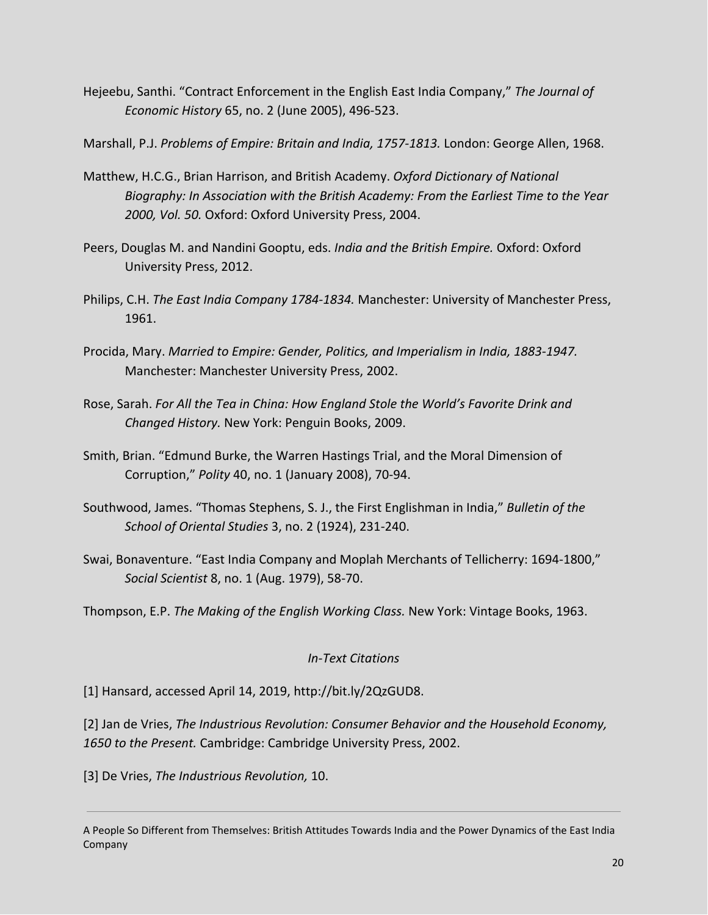Hejeebu, Santhi. "Contract Enforcement in the English East India Company," *The Journal of Economic History* 65, no. 2 (June 2005), 496-523.

Marshall, P.J. *Problems of Empire: Britain and India, 1757-1813.* London: George Allen, 1968.

- Matthew, H.C.G., Brian Harrison, and British Academy. *Oxford Dictionary of National Biography: In Association with the British Academy: From the Earliest Time to the Year 2000, Vol. 50.* Oxford: Oxford University Press, 2004.
- Peers, Douglas M. and Nandini Gooptu, eds. *India and the British Empire.* Oxford: Oxford University Press, 2012.
- Philips, C.H. *The East India Company 1784-1834.* Manchester: University of Manchester Press, 1961.
- Procida, Mary. *Married to Empire: Gender, Politics, and Imperialism in India, 1883-1947.* Manchester: Manchester University Press, 2002.
- Rose, Sarah. *For All the Tea in China: How England Stole the World's Favorite Drink and Changed History.* New York: Penguin Books, 2009.
- Smith, Brian. "Edmund Burke, the Warren Hastings Trial, and the Moral Dimension of Corruption," *Polity* 40, no. 1 (January 2008), 70-94.
- Southwood, James. "Thomas Stephens, S. J., the First Englishman in India," *Bulletin of the School of Oriental Studies* 3, no. 2 (1924), 231-240.
- Swai, Bonaventure. "East India Company and Moplah Merchants of Tellicherry: 1694-1800," *Social Scientist* 8, no. 1 (Aug. 1979), 58-70.

Thompson, E.P. *The Making of the English Working Class.* New York: Vintage Books, 1963.

## *In-Text Citations*

[1] Hansard, accessed April 14, 2019, http://bit.ly/2QzGUD8.

[2] Jan de Vries, *The Industrious Revolution: Consumer Behavior and the Household Economy, 1650 to the Present.* Cambridge: Cambridge University Press, 2002.

[3] De Vries, *The Industrious Revolution,* 10.

A People So Different from Themselves: British Attitudes Towards India and the Power Dynamics of the East India Company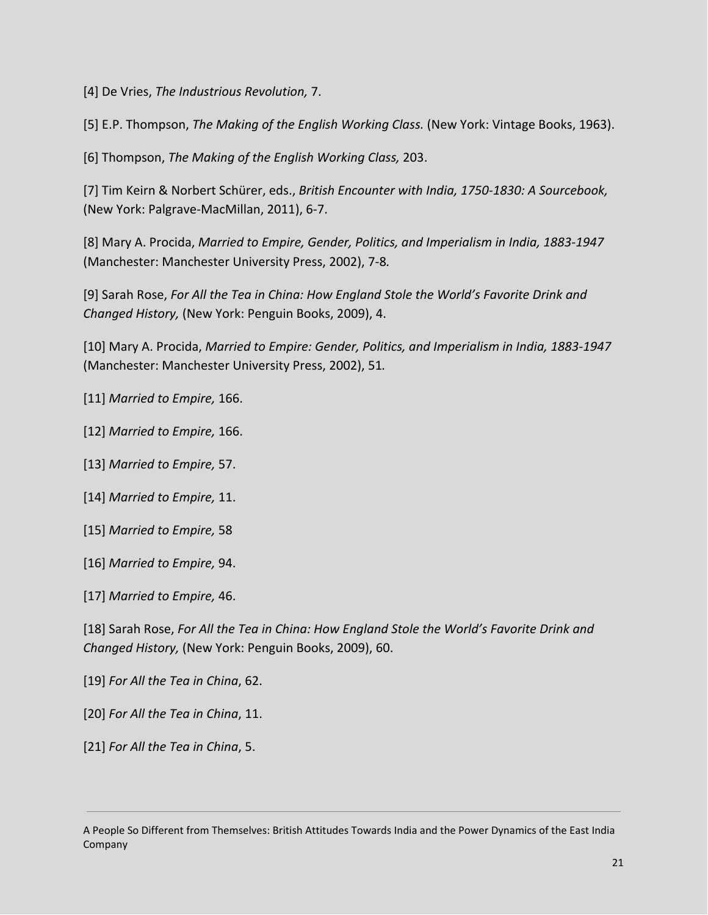[4] De Vries, *The Industrious Revolution,* 7.

[5] E.P. Thompson, *The Making of the English Working Class.* (New York: Vintage Books, 1963).

[6] Thompson, *The Making of the English Working Class,* 203.

[7] Tim Keirn & Norbert Schürer, eds., *British Encounter with India, 1750-1830: A Sourcebook,* (New York: Palgrave-MacMillan, 2011), 6-7.

[8] Mary A. Procida, *Married to Empire, Gender, Politics, and Imperialism in India, 1883-1947* (Manchester: Manchester University Press, 2002), 7-8*.*

[9] Sarah Rose, *For All the Tea in China: How England Stole the World's Favorite Drink and Changed History,* (New York: Penguin Books, 2009), 4.

[10] Mary A. Procida, *Married to Empire: Gender, Politics, and Imperialism in India, 1883-1947* (Manchester: Manchester University Press, 2002), 51*.*

[11] *Married to Empire,* 166.

- [12] *Married to Empire,* 166.
- [13] *Married to Empire,* 57.
- [14] *Married to Empire,* 11.
- [15] *Married to Empire,* 58
- [16] *Married to Empire,* 94.
- [17] *Married to Empire,* 46.

[18] Sarah Rose, *For All the Tea in China: How England Stole the World's Favorite Drink and Changed History,* (New York: Penguin Books, 2009), 60.

- [19] *For All the Tea in China*, 62.
- [20] *For All the Tea in China*, 11.
- [21] *For All the Tea in China*, 5.

A People So Different from Themselves: British Attitudes Towards India and the Power Dynamics of the East India Company